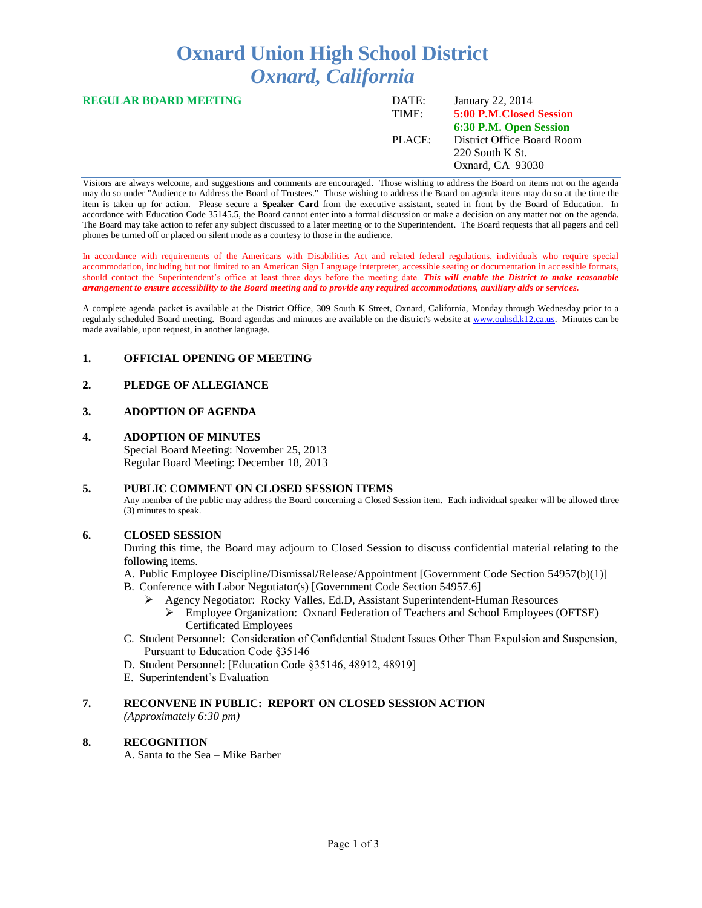# **Oxnard Union High School District** *Oxnard, California*

| <b>REGULAR BOARD MEETING</b> | DATE:  | January 22, 2014           |
|------------------------------|--------|----------------------------|
|                              | TIME:  | 5:00 P.M. Closed Session   |
|                              |        | 6:30 P.M. Open Session     |
|                              | PLACE: | District Office Board Room |
|                              |        | 220 South K St.            |
|                              |        | Oxnard, CA 93030           |
|                              |        |                            |

Visitors are always welcome, and suggestions and comments are encouraged. Those wishing to address the Board on items not on the agenda may do so under "Audience to Address the Board of Trustees." Those wishing to address the Board on agenda items may do so at the time the item is taken up for action. Please secure a **Speaker Card** from the executive assistant, seated in front by the Board of Education. In accordance with Education Code 35145.5, the Board cannot enter into a formal discussion or make a decision on any matter not on the agenda. The Board may take action to refer any subject discussed to a later meeting or to the Superintendent. The Board requests that all pagers and cell phones be turned off or placed on silent mode as a courtesy to those in the audience.

In accordance with requirements of the Americans with Disabilities Act and related federal regulations, individuals who require special accommodation, including but not limited to an American Sign Language interpreter, accessible seating or documentation in accessible formats, should contact the Superintendent's office at least three days before the meeting date. *This will enable the District to make reasonable arrangement to ensure accessibility to the Board meeting and to provide any required accommodations, auxiliary aids or services.* 

A complete agenda packet is available at the District Office, 309 South K Street, Oxnard, California, Monday through Wednesday prior to a regularly scheduled Board meeting. Board agendas and minutes are available on the district's website at [www.ouhsd.k12.ca.us.](http://www.ouhsd.k12.ca.us/)Minutes can be made available, upon request, in another language.

## **1. OFFICIAL OPENING OF MEETING**

# **2. PLEDGE OF ALLEGIANCE**

# **3. ADOPTION OF AGENDA**

#### **4. ADOPTION OF MINUTES**

Special Board Meeting: November 25, 2013 Regular Board Meeting: December 18, 2013

## **5. PUBLIC COMMENT ON CLOSED SESSION ITEMS**

Any member of the public may address the Board concerning a Closed Session item. Each individual speaker will be allowed three (3) minutes to speak.

#### **6. CLOSED SESSION**

During this time, the Board may adjourn to Closed Session to discuss confidential material relating to the following items.

- A. Public Employee Discipline/Dismissal/Release/Appointment [Government Code Section 54957(b)(1)]
- B. Conference with Labor Negotiator(s) [Government Code Section 54957.6]
	- Agency Negotiator: Rocky Valles, Ed.D, Assistant Superintendent-Human Resources
		- Employee Organization: Oxnard Federation of Teachers and School Employees (OFTSE) Certificated Employees
- C. Student Personnel: Consideration of Confidential Student Issues Other Than Expulsion and Suspension, Pursuant to Education Code §35146
- D. Student Personnel: [Education Code §35146, 48912, 48919]
- E. Superintendent's Evaluation

## **7. RECONVENE IN PUBLIC: REPORT ON CLOSED SESSION ACTION**

*(Approximately 6:30 pm)*

#### **8. RECOGNITION**

A. Santa to the Sea – Mike Barber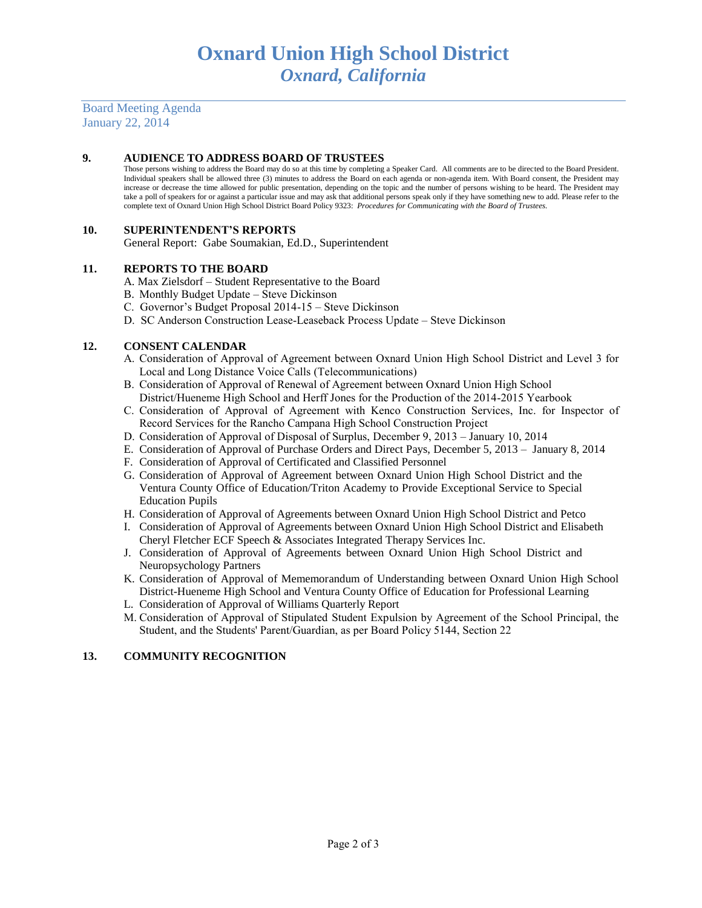Board Meeting Agenda January 22, 2014

## **9. AUDIENCE TO ADDRESS BOARD OF TRUSTEES**

Those persons wishing to address the Board may do so at this time by completing a Speaker Card. All comments are to be directed to the Board President. Individual speakers shall be allowed three (3) minutes to address the Board on each agenda or non-agenda item. With Board consent, the President may increase or decrease the time allowed for public presentation, depending on the topic and the number of persons wishing to be heard. The President may take a poll of speakers for or against a particular issue and may ask that additional persons speak only if they have something new to add. Please refer to the complete text of Oxnard Union High School District Board Policy 9323: *Procedures for Communicating with the Board of Trustees.*

# **10. SUPERINTENDENT'S REPORTS**

General Report: Gabe Soumakian, Ed.D., Superintendent

## **11. REPORTS TO THE BOARD**

- A. Max Zielsdorf Student Representative to the Board
- B. Monthly Budget Update Steve Dickinson
- C. Governor's Budget Proposal 2014-15 Steve Dickinson
- D. SC Anderson Construction Lease-Leaseback Process Update Steve Dickinson

## **12. CONSENT CALENDAR**

- A. Consideration of Approval of Agreement between Oxnard Union High School District and Level 3 for Local and Long Distance Voice Calls (Telecommunications)
- B. Consideration of Approval of Renewal of Agreement between Oxnard Union High School District/Hueneme High School and Herff Jones for the Production of the 2014-2015 Yearbook
- C. Consideration of Approval of Agreement with Kenco Construction Services, Inc. for Inspector of Record Services for the Rancho Campana High School Construction Project
- D. Consideration of Approval of Disposal of Surplus, December 9, 2013 January 10, 2014
- E. Consideration of Approval of Purchase Orders and Direct Pays, December 5, 2013 January 8, 2014
- F. Consideration of Approval of Certificated and Classified Personnel
- G. Consideration of Approval of Agreement between Oxnard Union High School District and the Ventura County Office of Education/Triton Academy to Provide Exceptional Service to Special Education Pupils
- H. Consideration of Approval of Agreements between Oxnard Union High School District and Petco
- I. Consideration of Approval of Agreements between Oxnard Union High School District and Elisabeth Cheryl Fletcher ECF Speech & Associates Integrated Therapy Services Inc.
- J. Consideration of Approval of Agreements between Oxnard Union High School District and Neuropsychology Partners
- K. Consideration of Approval of Mememorandum of Understanding between Oxnard Union High School District-Hueneme High School and Ventura County Office of Education for Professional Learning
- L. Consideration of Approval of Williams Quarterly Report
- M. Consideration of Approval of Stipulated Student Expulsion by Agreement of the School Principal, the Student, and the Students' Parent/Guardian, as per Board Policy 5144, Section 22

## **13. COMMUNITY RECOGNITION**